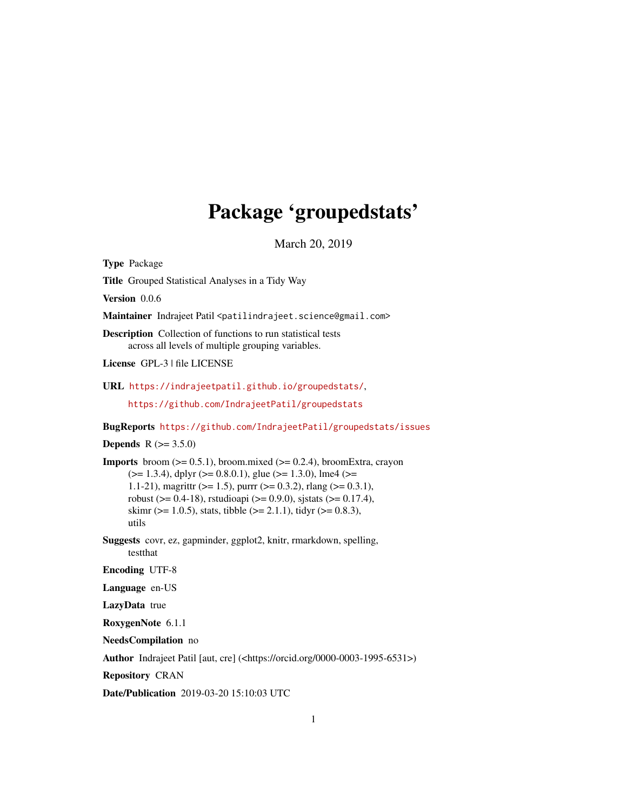## Package 'groupedstats'

March 20, 2019

<span id="page-0-0"></span>Type Package

Title Grouped Statistical Analyses in a Tidy Way

Version 0.0.6

Maintainer Indrajeet Patil <patilindrajeet.science@gmail.com>

Description Collection of functions to run statistical tests across all levels of multiple grouping variables.

License GPL-3 | file LICENSE

URL <https://indrajeetpatil.github.io/groupedstats/>,

<https://github.com/IndrajeetPatil/groupedstats>

BugReports <https://github.com/IndrajeetPatil/groupedstats/issues>

## **Depends** R  $(>= 3.5.0)$

**Imports** broom  $(>= 0.5.1)$ , broom.mixed  $(>= 0.2.4)$ , broomExtra, crayon  $(>= 1.3.4)$ , dplyr  $(>= 0.8.0.1)$ , glue  $(>= 1.3.0)$ , lme4  $(>= 1.3.4)$ 1.1-21), magnittr ( $>= 1.5$ ), purrr ( $>= 0.3.2$ ), rlang ( $>= 0.3.1$ ), robust ( $> = 0.4-18$ ), rstudioapi ( $> = 0.9.0$ ), sjstats ( $> = 0.17.4$ ), skimr ( $>= 1.0.5$ ), stats, tibble ( $>= 2.1.1$ ), tidyr ( $>= 0.8.3$ ), utils

Suggests covr, ez, gapminder, ggplot2, knitr, rmarkdown, spelling, testthat

Encoding UTF-8

Language en-US

LazyData true

RoxygenNote 6.1.1

NeedsCompilation no

Author Indrajeet Patil [aut, cre] (<https://orcid.org/0000-0003-1995-6531>)

Repository CRAN

Date/Publication 2019-03-20 15:10:03 UTC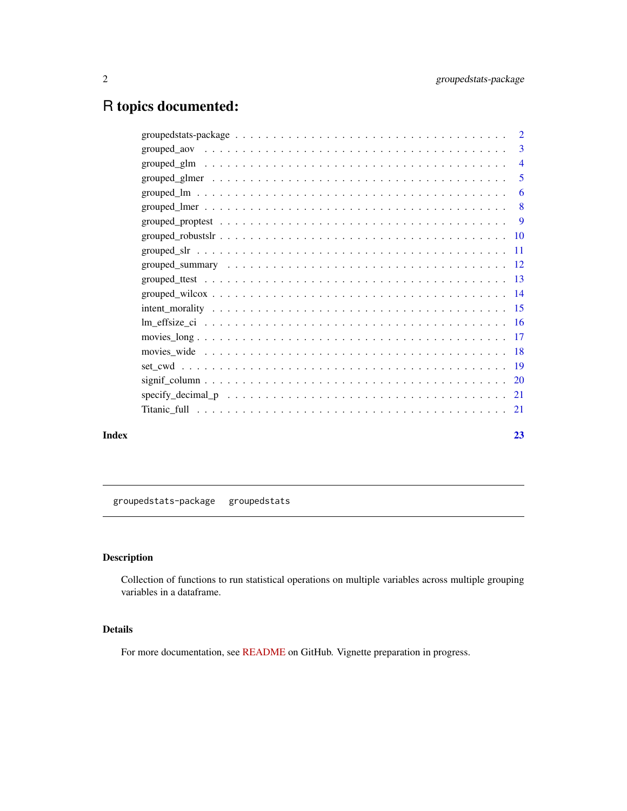## <span id="page-1-0"></span>R topics documented:

|       | $grouped_aov \dots \dots \dots \dots \dots \dots \dots \dots \dots \dots \dots \dots \dots \dots \dots \dots$ | $\overline{3}$ |
|-------|---------------------------------------------------------------------------------------------------------------|----------------|
|       |                                                                                                               |                |
|       |                                                                                                               |                |
|       |                                                                                                               |                |
|       |                                                                                                               |                |
|       |                                                                                                               |                |
|       |                                                                                                               |                |
|       |                                                                                                               |                |
|       |                                                                                                               |                |
|       |                                                                                                               |                |
|       |                                                                                                               |                |
|       |                                                                                                               |                |
|       |                                                                                                               |                |
|       |                                                                                                               |                |
|       |                                                                                                               |                |
|       |                                                                                                               |                |
|       |                                                                                                               |                |
|       |                                                                                                               |                |
|       |                                                                                                               |                |
| Index |                                                                                                               | 23             |

groupedstats-package groupedstats

## Description

Collection of functions to run statistical operations on multiple variables across multiple grouping variables in a dataframe.

## Details

For more documentation, see [README](https://github.com/IndrajeetPatil/groupedstats) on GitHub. Vignette preparation in progress.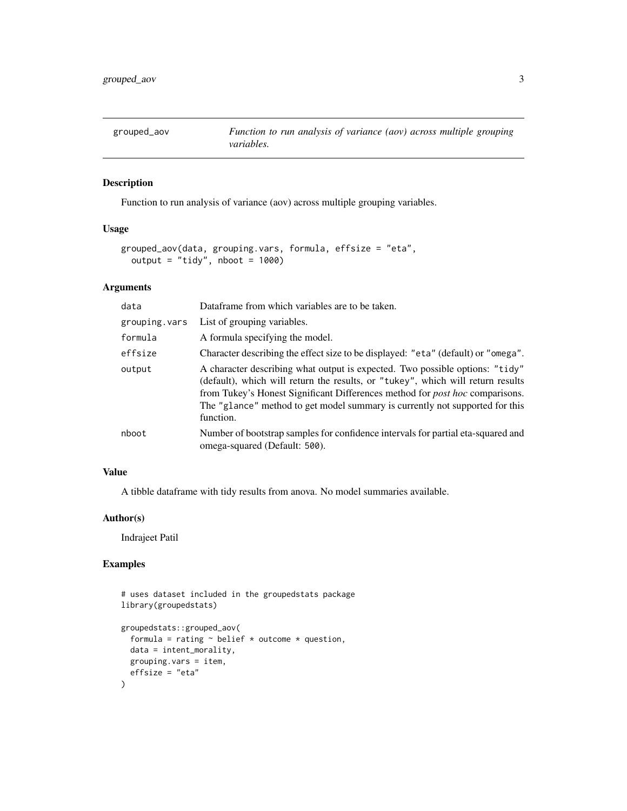<span id="page-2-0"></span>

## Description

Function to run analysis of variance (aov) across multiple grouping variables.

#### Usage

```
grouped_aov(data, grouping.vars, formula, effsize = "eta",
 output = "tidy", nboot = 1000)
```
## Arguments

| data          | Dataframe from which variables are to be taken.                                                                                                                                                                                                                                                                                                     |
|---------------|-----------------------------------------------------------------------------------------------------------------------------------------------------------------------------------------------------------------------------------------------------------------------------------------------------------------------------------------------------|
| grouping.vars | List of grouping variables.                                                                                                                                                                                                                                                                                                                         |
| formula       | A formula specifying the model.                                                                                                                                                                                                                                                                                                                     |
| effsize       | Character describing the effect size to be displayed: "eta" (default) or "omega".                                                                                                                                                                                                                                                                   |
| output        | A character describing what output is expected. Two possible options: "tidy"<br>(default), which will return the results, or "tukey", which will return results<br>from Tukey's Honest Significant Differences method for <i>post hoc</i> comparisons.<br>The "glance" method to get model summary is currently not supported for this<br>function. |
| nboot         | Number of bootstrap samples for confidence intervals for partial eta-squared and<br>omega-squared (Default: 500).                                                                                                                                                                                                                                   |

## Value

A tibble dataframe with tidy results from anova. No model summaries available.

## Author(s)

Indrajeet Patil

```
# uses dataset included in the groupedstats package
library(groupedstats)
groupedstats::grouped_aov(
  formula = rating \sim belief * outcome * question,
  data = intent_morality,
  grouping.vars = item,
  effsize = "eta"
\mathcal{L}
```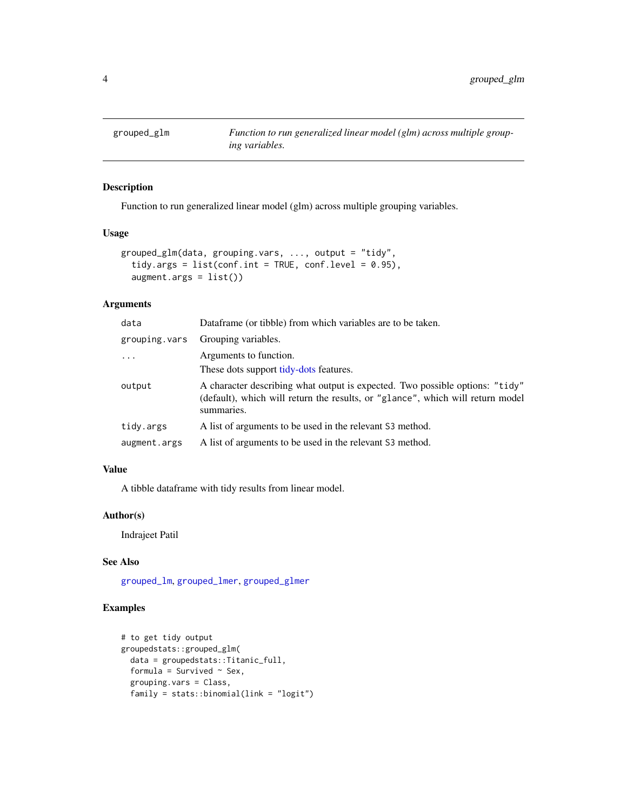<span id="page-3-0"></span>

## Description

Function to run generalized linear model (glm) across multiple grouping variables.

#### Usage

```
grouped_glm(data, grouping.vars, ..., output = "tidy",
  tidy.args = list(conf.int = TRUE, conf.level = 0.95),
  augment.argv = list()
```
## Arguments

| data          | Dataframe (or tibble) from which variables are to be taken.                                                                                                                  |
|---------------|------------------------------------------------------------------------------------------------------------------------------------------------------------------------------|
| grouping.vars | Grouping variables.                                                                                                                                                          |
| $\ddotsc$     | Arguments to function.                                                                                                                                                       |
|               | These dots support tidy-dots features.                                                                                                                                       |
| output        | A character describing what output is expected. Two possible options: "tidy"<br>(default), which will return the results, or "glance", which will return model<br>summaries. |
| tidy.args     | A list of arguments to be used in the relevant S3 method.                                                                                                                    |
| augment.args  | A list of arguments to be used in the relevant S3 method.                                                                                                                    |

#### Value

A tibble dataframe with tidy results from linear model.

#### Author(s)

Indrajeet Patil

#### See Also

[grouped\\_lm](#page-5-1), [grouped\\_lmer](#page-7-1), [grouped\\_glmer](#page-4-1)

```
# to get tidy output
groupedstats::grouped_glm(
 data = groupedstats::Titanic_full,
 formula = Survived \sim Sex,
 grouping.vars = Class,
 family = stats::binomial(link = "logit")
```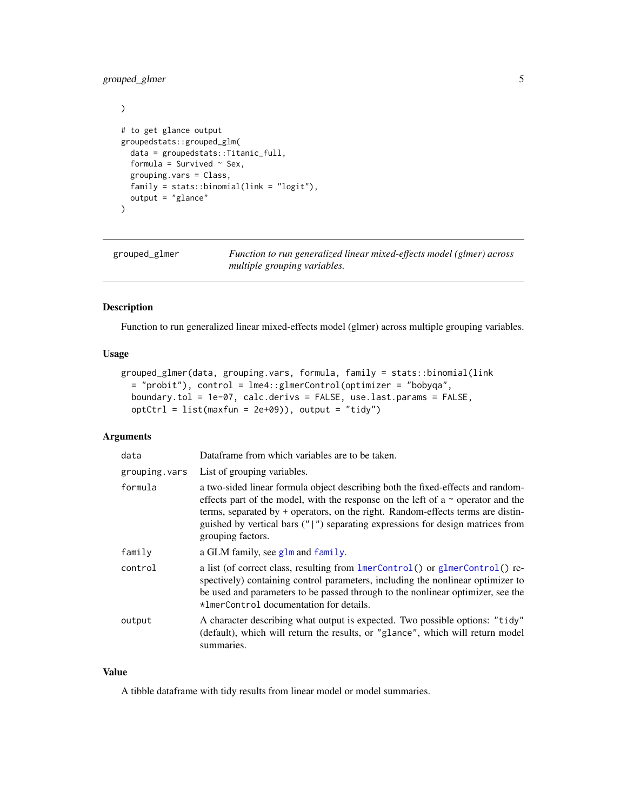## <span id="page-4-0"></span>grouped\_glmer 5

```
\mathcal{L}# to get glance output
groupedstats::grouped_glm(
  data = groupedstats::Titanic_full,
  formula = Survived \sim Sex,
  grouping.vars = Class,
  family = stats::binomial(link = "logit"),
  output = "glance"
\overline{\phantom{a}}
```
<span id="page-4-1"></span>grouped\_glmer *Function to run generalized linear mixed-effects model (glmer) across multiple grouping variables.*

#### Description

Function to run generalized linear mixed-effects model (glmer) across multiple grouping variables.

## Usage

```
grouped_glmer(data, grouping.vars, formula, family = stats::binomial(link
 = "probit"), control = lme4::glmerControl(optimizer = "bobyqa",
 boundary.tol = 1e-07, calc.derivs = FALSE, use.last.params = FALSE,
 optCtrl = list(maxfun = 2e+09), output = "tidy")
```
#### Arguments

| data          | Dataframe from which variables are to be taken.                                                                                                                                                                                                                                                                                                                     |
|---------------|---------------------------------------------------------------------------------------------------------------------------------------------------------------------------------------------------------------------------------------------------------------------------------------------------------------------------------------------------------------------|
| grouping.vars | List of grouping variables.                                                                                                                                                                                                                                                                                                                                         |
| formula       | a two-sided linear formula object describing both the fixed-effects and random-<br>effects part of the model, with the response on the left of a $\sim$ operator and the<br>terms, separated by + operators, on the right. Random-effects terms are distin-<br>guished by vertical bars $('')$ separating expressions for design matrices from<br>grouping factors. |
| family        | a GLM family, see glm and family.                                                                                                                                                                                                                                                                                                                                   |
| control       | a list (of correct class, resulting from $l$ merControl() or glmerControl() re-<br>spectively) containing control parameters, including the nonlinear optimizer to<br>be used and parameters to be passed through to the nonlinear optimizer, see the<br>*ImerControl documentation for details.                                                                    |
| output        | A character describing what output is expected. Two possible options: "tidy"<br>(default), which will return the results, or "glance", which will return model<br>summaries.                                                                                                                                                                                        |
|               |                                                                                                                                                                                                                                                                                                                                                                     |

## Value

A tibble dataframe with tidy results from linear model or model summaries.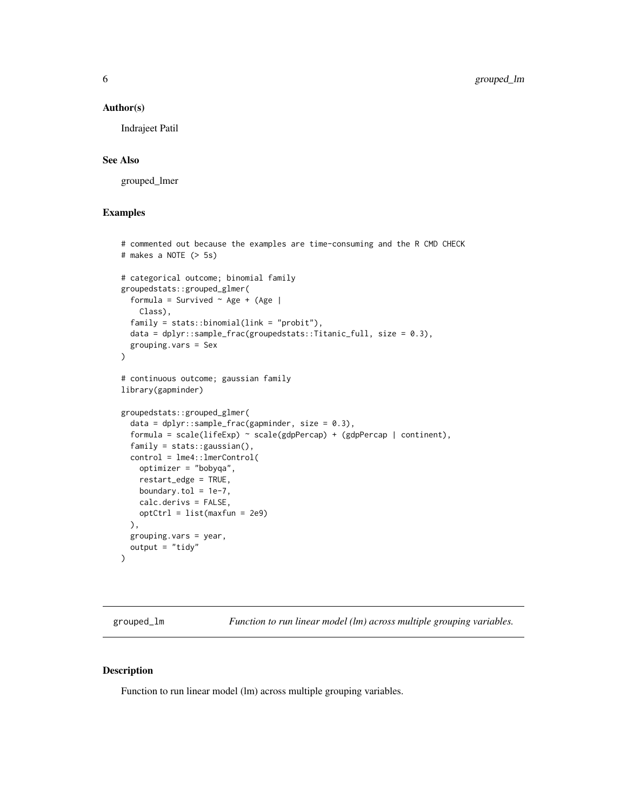#### <span id="page-5-0"></span>Author(s)

Indrajeet Patil

#### See Also

grouped\_lmer

## Examples

```
# commented out because the examples are time-consuming and the R CMD CHECK
# makes a NOTE (> 5s)
# categorical outcome; binomial family
groupedstats::grouped_glmer(
  formula = Survived \sim Age + (Age |
   Class),
  family = stats::binomial(link = "probit"),
  data = dplyr::sample_frac(groupedstats::Titanic_full, size = 0.3),grouping.vars = Sex
)
# continuous outcome; gaussian family
library(gapminder)
groupedstats::grouped_glmer(
  data = dplyr::sample_frac(gapminder, size = 0.3),
  formula = scale(lifeExp) \sim scale(gdpPercap) + (gdpPercap | continent),family = stats::gaussian(),
  control = lme4::lmerControl(
   optimizer = "bobyqa",
   restart_edge = TRUE,
   boundary.tol = 1e-7,
   calc.derivs = FALSE,
   optCtrl = list(maxfun = 2e9)),
  grouping.vars = year,
  output = "tidy")
```
<span id="page-5-1"></span>grouped\_lm *Function to run linear model (lm) across multiple grouping variables.*

## Description

Function to run linear model (lm) across multiple grouping variables.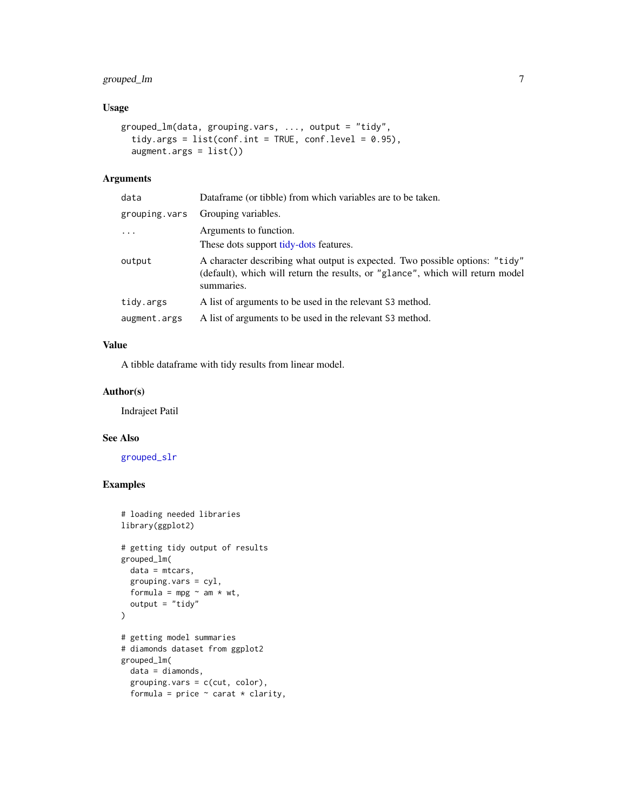## <span id="page-6-0"></span>grouped\_lm 7

## Usage

```
grouped_lm(data, grouping.vars, ..., output = "tidy",
  tidy.args = list(conf.int = TRUE, conf.level = 0.95),
  augment.args = list())
```
#### Arguments

| data          | Dataframe (or tibble) from which variables are to be taken.                                                                                                                  |
|---------------|------------------------------------------------------------------------------------------------------------------------------------------------------------------------------|
| grouping.vars | Grouping variables.                                                                                                                                                          |
| $\ddots$      | Arguments to function.                                                                                                                                                       |
|               | These dots support tidy-dots features.                                                                                                                                       |
| output        | A character describing what output is expected. Two possible options: "tidy"<br>(default), which will return the results, or "glance", which will return model<br>summaries. |
| tidy.args     | A list of arguments to be used in the relevant S3 method.                                                                                                                    |
| augment.args  | A list of arguments to be used in the relevant S3 method.                                                                                                                    |

## Value

A tibble dataframe with tidy results from linear model.

#### Author(s)

Indrajeet Patil

#### See Also

[grouped\\_slr](#page-10-1)

```
# loading needed libraries
library(ggplot2)
# getting tidy output of results
grouped_lm(
  data = mtcars,
  grouping.vars = cyl,
  formula = mpg \sim am * wt,
  output = "tidy"\mathcal{L}# getting model summaries
# diamonds dataset from ggplot2
grouped_lm(
 data = diamonds,
  grouping.vars = c(cut, color),
  formula = price \sim carat \star clarity,
```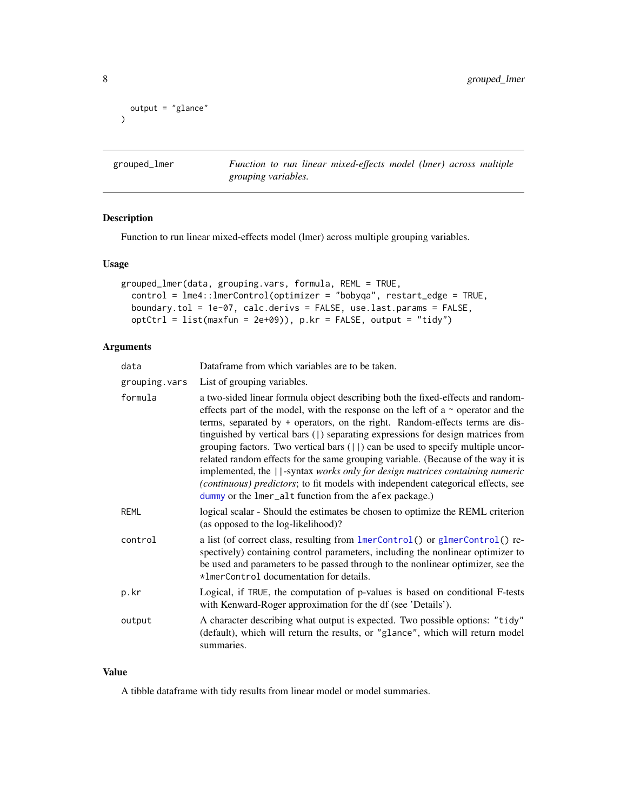```
output = "glance"
\mathcal{L}
```
<span id="page-7-1"></span>grouped\_lmer *Function to run linear mixed-effects model (lmer) across multiple grouping variables.*

## Description

Function to run linear mixed-effects model (lmer) across multiple grouping variables.

#### Usage

```
grouped_lmer(data, grouping.vars, formula, REML = TRUE,
 control = lme4::lmerControl(optimizer = "bobyqa", restart_edge = TRUE,
 boundary.tol = 1e-07, calc.derivs = FALSE, use.last.params = FALSE,
 optCtrl = list(maxfun = 2e+09)), p.kr = FALSE, output = "tidy")
```
## Arguments

| data          | Dataframe from which variables are to be taken.                                                                                                                                                                                                                                                                                                                                                                                                                                                                                                                                                                                                                                                                                                           |
|---------------|-----------------------------------------------------------------------------------------------------------------------------------------------------------------------------------------------------------------------------------------------------------------------------------------------------------------------------------------------------------------------------------------------------------------------------------------------------------------------------------------------------------------------------------------------------------------------------------------------------------------------------------------------------------------------------------------------------------------------------------------------------------|
| grouping.vars | List of grouping variables.                                                                                                                                                                                                                                                                                                                                                                                                                                                                                                                                                                                                                                                                                                                               |
| formula       | a two-sided linear formula object describing both the fixed-effects and random-<br>effects part of the model, with the response on the left of a $\sim$ operator and the<br>terms, separated by + operators, on the right. Random-effects terms are dis-<br>tinguished by vertical bars (1) separating expressions for design matrices from<br>grouping factors. Two vertical bars $(  \cdot  )$ can be used to specify multiple uncor-<br>related random effects for the same grouping variable. (Because of the way it is<br>implemented, the   -syntax works only for design matrices containing numeric<br>(continuous) predictors; to fit models with independent categorical effects, see<br>dummy or the lmer_alt function from the afex package.) |
| REML          | logical scalar - Should the estimates be chosen to optimize the REML criterion<br>(as opposed to the log-likelihood)?                                                                                                                                                                                                                                                                                                                                                                                                                                                                                                                                                                                                                                     |
| control       | a list (of correct class, resulting from lmerControl() or glmerControl() re-<br>spectively) containing control parameters, including the nonlinear optimizer to<br>be used and parameters to be passed through to the nonlinear optimizer, see the<br>*ImerControl documentation for details.                                                                                                                                                                                                                                                                                                                                                                                                                                                             |
| p.kr          | Logical, if TRUE, the computation of p-values is based on conditional F-tests<br>with Kenward-Roger approximation for the df (see 'Details').                                                                                                                                                                                                                                                                                                                                                                                                                                                                                                                                                                                                             |
| output        | A character describing what output is expected. Two possible options: "tidy"<br>(default), which will return the results, or "glance", which will return model<br>summaries.                                                                                                                                                                                                                                                                                                                                                                                                                                                                                                                                                                              |

## Value

A tibble dataframe with tidy results from linear model or model summaries.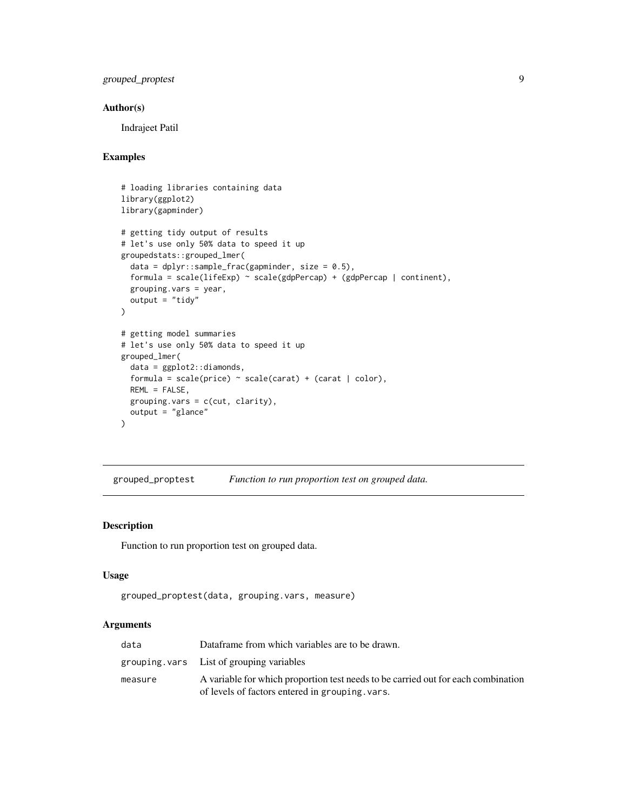## <span id="page-8-0"></span>grouped\_proptest 9

## Author(s)

Indrajeet Patil

## Examples

```
# loading libraries containing data
library(ggplot2)
library(gapminder)
# getting tidy output of results
# let's use only 50% data to speed it up
groupedstats::grouped_lmer(
  data = dplyr::sample_frac(gapminder, size = 0.5),formula = scale(lifeExp) ~ scale(gdpPercap) + (gdpPercap | continent),
  grouping.vars = year,
  output = "tidy"\mathcal{L}# getting model summaries
# let's use only 50% data to speed it up
grouped_lmer(
  data = ggplot2::diamonds,
  formula = scale(price) \sim scale(carat) + (carat | color),REML = FALSE,
  grouping.vars = c(cut, clarity),
  output = "glance"
\mathcal{L}
```
grouped\_proptest *Function to run proportion test on grouped data.*

#### Description

Function to run proportion test on grouped data.

#### Usage

```
grouped_proptest(data, grouping.vars, measure)
```
## Arguments

| data    | Dataframe from which variables are to be drawn.                                   |
|---------|-----------------------------------------------------------------------------------|
|         | grouping vars List of grouping variables                                          |
| measure | A variable for which proportion test needs to be carried out for each combination |
|         | of levels of factors entered in grouping, vars.                                   |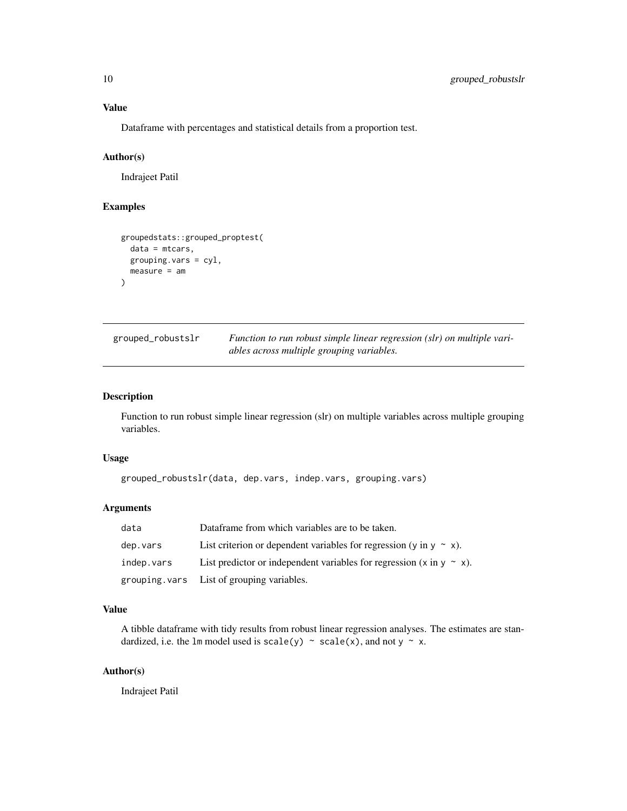## <span id="page-9-0"></span>Value

Dataframe with percentages and statistical details from a proportion test.

## Author(s)

Indrajeet Patil

## Examples

```
groupedstats::grouped_proptest(
  data = mtcars,
  grouping.vars = cyl,
  measure = am
\mathcal{L}
```

| grouped_robustslr | Function to run robust simple linear regression (slr) on multiple vari- |
|-------------------|-------------------------------------------------------------------------|
|                   | ables across multiple grouping variables.                               |

## Description

Function to run robust simple linear regression (slr) on multiple variables across multiple grouping variables.

#### Usage

```
grouped_robustslr(data, dep.vars, indep.vars, grouping.vars)
```
#### Arguments

| data       | Dataframe from which variables are to be taken.                                     |
|------------|-------------------------------------------------------------------------------------|
| dep.vars   | List criterion or dependent variables for regression (y in $y \sim x$ ).            |
| indep.vars | List predictor or independent variables for regression $(x \text{ in } y \sim x)$ . |
|            | grouping.vars List of grouping variables.                                           |

## Value

A tibble dataframe with tidy results from robust linear regression analyses. The estimates are standardized, i.e. the 1m model used is scale(y)  $\sim$  scale(x), and not y  $\sim$  x.

## Author(s)

Indrajeet Patil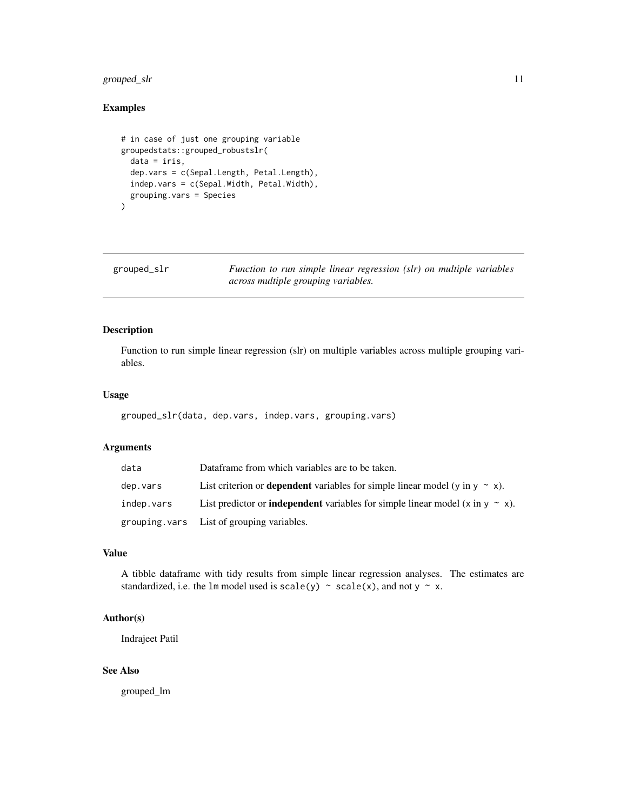## <span id="page-10-0"></span>grouped\_slr 11

## Examples

```
# in case of just one grouping variable
groupedstats::grouped_robustslr(
  data = iris,
  dep.vars = c(Sepal.Length, Petal.Length),
  indep.vars = c(Sepal.Width, Petal.Width),
  grouping.vars = Species
\lambda
```
<span id="page-10-1"></span>grouped\_slr *Function to run simple linear regression (slr) on multiple variables across multiple grouping variables.*

## Description

Function to run simple linear regression (slr) on multiple variables across multiple grouping variables.

## Usage

grouped\_slr(data, dep.vars, indep.vars, grouping.vars)

## Arguments

| data       | Dataframe from which variables are to be taken.                                           |
|------------|-------------------------------------------------------------------------------------------|
| dep.vars   | List criterion or <b>dependent</b> variables for simple linear model (y in $y \sim x$ ).  |
| indep.vars | List predictor or <b>independent</b> variables for simple linear model (x in y $\sim$ x). |
|            | grouping vars List of grouping variables.                                                 |

#### Value

A tibble dataframe with tidy results from simple linear regression analyses. The estimates are standardized, i.e. the lm model used is scale(y)  $\sim$  scale(x), and not y  $\sim$  x.

## Author(s)

Indrajeet Patil

## See Also

grouped\_lm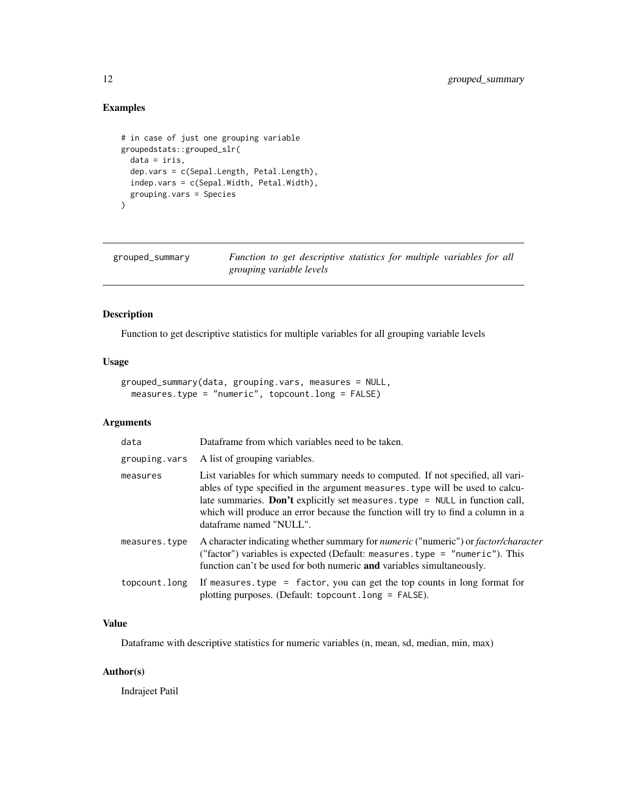## Examples

```
# in case of just one grouping variable
groupedstats::grouped_slr(
  data = iris,
  dep.vars = c(Sepal.Length, Petal.Length),
  indep.vars = c(Sepal.Width, Petal.Width),
  grouping.vars = Species
)
```
grouped\_summary *Function to get descriptive statistics for multiple variables for all grouping variable levels*

## Description

Function to get descriptive statistics for multiple variables for all grouping variable levels

#### Usage

```
grouped_summary(data, grouping.vars, measures = NULL,
 measures.type = "numeric", topcount.long = FALSE)
```
## Arguments

| data          | Dataframe from which variables need to be taken.                                                                                                                                                                                                                                                                                                                 |
|---------------|------------------------------------------------------------------------------------------------------------------------------------------------------------------------------------------------------------------------------------------------------------------------------------------------------------------------------------------------------------------|
| grouping.vars | A list of grouping variables.                                                                                                                                                                                                                                                                                                                                    |
| measures      | List variables for which summary needs to computed. If not specified, all vari-<br>ables of type specified in the argument measures, type will be used to calcu-<br>late summaries. Don't explicitly set measures. type $=$ NULL in function call,<br>which will produce an error because the function will try to find a column in a<br>dataframe named "NULL". |
| measures.type | A character indicating whether summary for <i>numeric</i> ("numeric") or <i>factor/character</i><br>("factor") variables is expected (Default: measures. type = "numeric"). This<br>function can't be used for both numeric <b>and</b> variables simultaneously.                                                                                                 |
| topcount.long | If measures. type = factor, you can get the top counts in long format for<br>plotting purposes. (Default: topcount.long = FALSE).                                                                                                                                                                                                                                |

## Value

Dataframe with descriptive statistics for numeric variables (n, mean, sd, median, min, max)

## Author(s)

Indrajeet Patil

<span id="page-11-0"></span>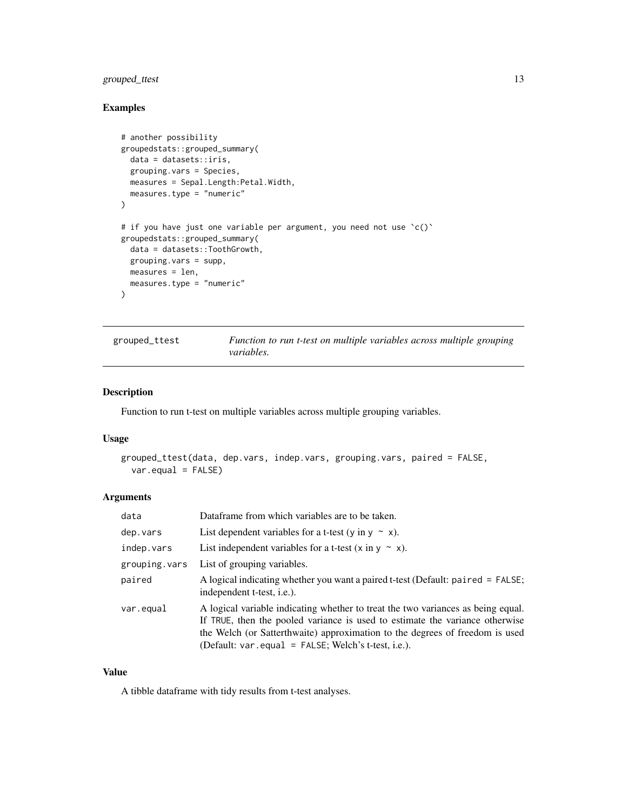## <span id="page-12-0"></span>grouped\_ttest 13

## Examples

```
# another possibility
groupedstats::grouped_summary(
  data = datasets::iris,
  grouping.vars = Species,
 measures = Sepal.Length:Petal.Width,
  measures.type = "numeric"
\lambda# if you have just one variable per argument, you need not use 'c()'
groupedstats::grouped_summary(
  data = datasets::ToothGrowth,
 grouping.vars = supp,
 measures = len,
  measures.type = "numeric"
\lambda
```
grouped\_ttest *Function to run t-test on multiple variables across multiple grouping variables.*

#### Description

Function to run t-test on multiple variables across multiple grouping variables.

#### Usage

```
grouped_ttest(data, dep.vars, indep.vars, grouping.vars, paired = FALSE,
  var.equal = FALSE)
```
## Arguments

| data          | Dataframe from which variables are to be taken.                                                                                                                                                                                                                                                            |
|---------------|------------------------------------------------------------------------------------------------------------------------------------------------------------------------------------------------------------------------------------------------------------------------------------------------------------|
| dep.vars      | List dependent variables for a t-test (y in y $\sim$ x).                                                                                                                                                                                                                                                   |
| indep.vars    | List independent variables for a t-test $(x \in y \sim x)$ .                                                                                                                                                                                                                                               |
| grouping.vars | List of grouping variables.                                                                                                                                                                                                                                                                                |
| paired        | A logical indicating whether you want a paired t-test (Default: paired = FALSE;<br>independent t-test, <i>i.e.</i> ).                                                                                                                                                                                      |
| var.equal     | A logical variable indicating whether to treat the two variances as being equal.<br>If TRUE, then the pooled variance is used to estimate the variance otherwise<br>the Welch (or Satterthwaite) approximation to the degrees of freedom is used<br>(Default: $var.equals = FALSE; Welch's t-test, i.e.).$ |

#### Value

A tibble dataframe with tidy results from t-test analyses.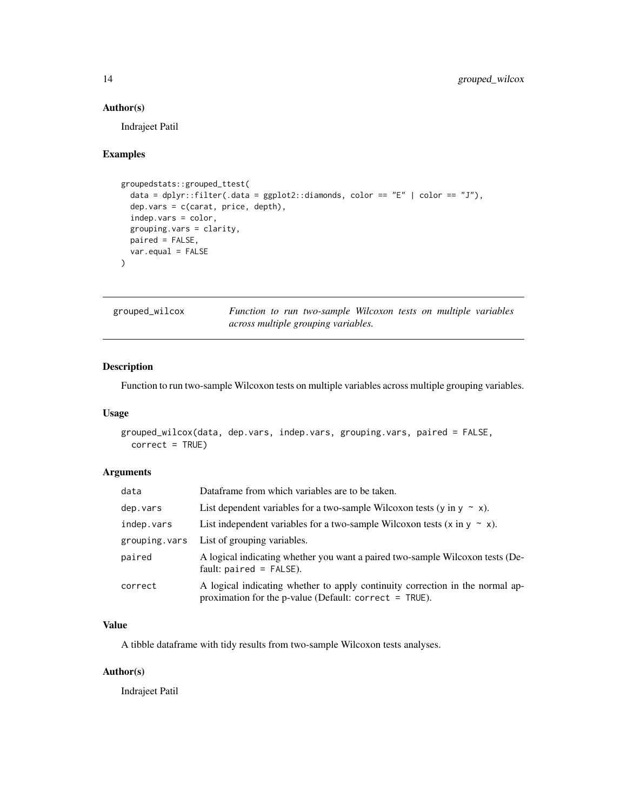#### Author(s)

Indrajeet Patil

## Examples

```
groupedstats::grouped_ttest(
  data = dplyr::filter(.data = ggplot2::diamonds, color == "E" | color == "J"),
  dep.vars = c(carat, price, depth),
  indep.vars = color,
 grouping.vars = clarity,
 paired = FALSE,
  var.equal = FALSE
\mathcal{L}
```

| grouped_wilcox |  | Function to run two-sample Wilcoxon tests on multiple variables |  |  |  |
|----------------|--|-----------------------------------------------------------------|--|--|--|
|                |  | across multiple grouping variables.                             |  |  |  |

#### Description

Function to run two-sample Wilcoxon tests on multiple variables across multiple grouping variables.

#### Usage

```
grouped_wilcox(data, dep.vars, indep.vars, grouping.vars, paired = FALSE,
 correct = TRUE)
```
#### Arguments

| data          | Dataframe from which variables are to be taken.                                                                                            |
|---------------|--------------------------------------------------------------------------------------------------------------------------------------------|
| dep.vars      | List dependent variables for a two-sample Wilcoxon tests (y in y $\sim x$ ).                                                               |
| indep.vars    | List independent variables for a two-sample Wilcoxon tests $(x \in y \sim x)$ .                                                            |
| grouping.vars | List of grouping variables.                                                                                                                |
| paired        | A logical indicating whether you want a paired two-sample Wilcoxon tests (De-<br>fault: $paired = FALSE$ ).                                |
| correct       | A logical indicating whether to apply continuity correction in the normal ap-<br>proximation for the p-value (Default: correct = $TRUE$ ). |

#### Value

A tibble dataframe with tidy results from two-sample Wilcoxon tests analyses.

#### Author(s)

Indrajeet Patil

<span id="page-13-0"></span>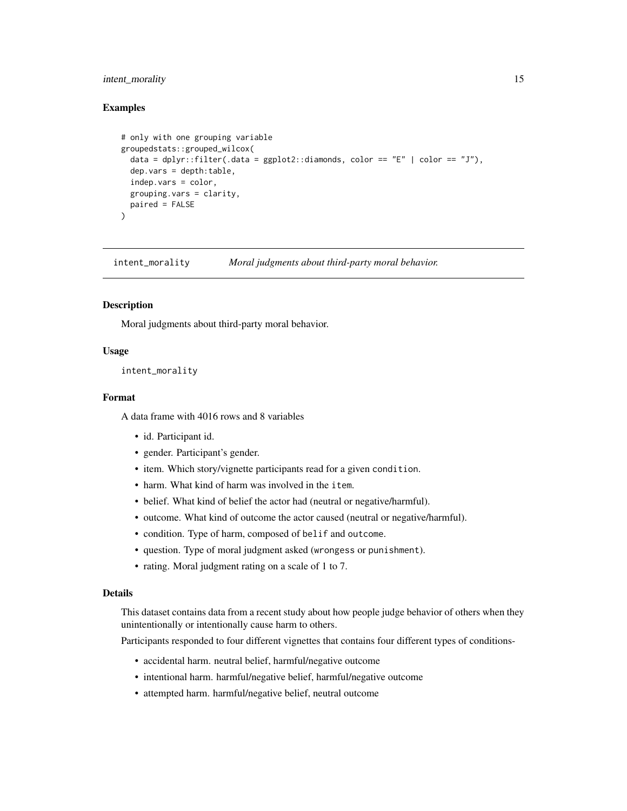#### <span id="page-14-0"></span>intent\_morality 15

#### Examples

```
# only with one grouping variable
groupedstats::grouped_wilcox(
 data = dplyr::filter(.data = ggplot2::diamonds, color == "E" | color == "J"),
 dep.vars = depth:table,
 indep.vars = color,
 grouping.vars = clarity,
 paired = FALSE
)
```
intent\_morality *Moral judgments about third-party moral behavior.*

#### Description

Moral judgments about third-party moral behavior.

#### Usage

```
intent_morality
```
#### Format

A data frame with 4016 rows and 8 variables

- id. Participant id.
- gender. Participant's gender.
- item. Which story/vignette participants read for a given condition.
- harm. What kind of harm was involved in the item.
- belief. What kind of belief the actor had (neutral or negative/harmful).
- outcome. What kind of outcome the actor caused (neutral or negative/harmful).
- condition. Type of harm, composed of belif and outcome.
- question. Type of moral judgment asked (wrongess or punishment).
- rating. Moral judgment rating on a scale of 1 to 7.

## Details

This dataset contains data from a recent study about how people judge behavior of others when they unintentionally or intentionally cause harm to others.

Participants responded to four different vignettes that contains four different types of conditions-

- accidental harm. neutral belief, harmful/negative outcome
- intentional harm. harmful/negative belief, harmful/negative outcome
- attempted harm. harmful/negative belief, neutral outcome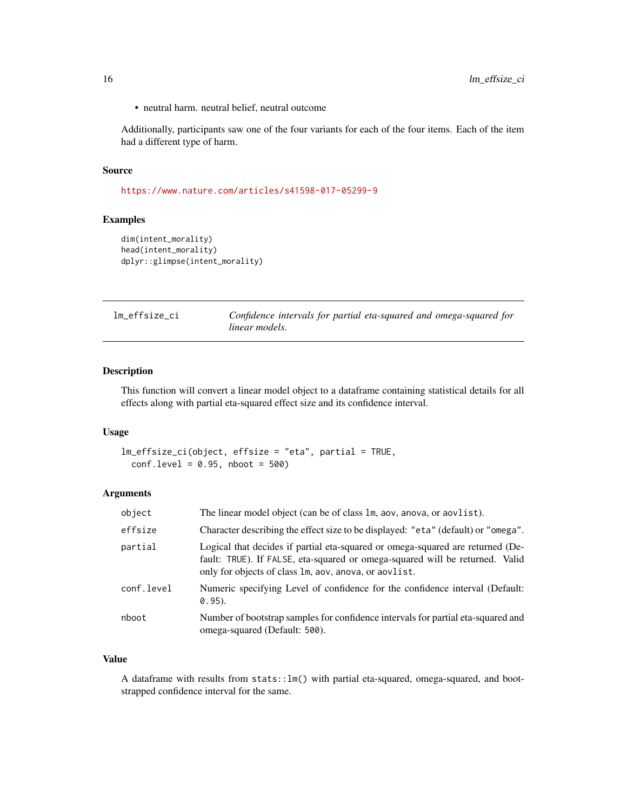<span id="page-15-0"></span>• neutral harm. neutral belief, neutral outcome

Additionally, participants saw one of the four variants for each of the four items. Each of the item had a different type of harm.

#### Source

<https://www.nature.com/articles/s41598-017-05299-9>

## Examples

```
dim(intent_morality)
head(intent_morality)
dplyr::glimpse(intent_morality)
```

| lm effsize ci | Confidence intervals for partial eta-squared and omega-squared for |
|---------------|--------------------------------------------------------------------|
|               | linear models.                                                     |

## Description

This function will convert a linear model object to a dataframe containing statistical details for all effects along with partial eta-squared effect size and its confidence interval.

#### Usage

```
lm_effsize_ci(object, effsize = "eta", partial = TRUE,
 conf. level = 0.95, nboot = 500
```
## Arguments

| object     | The linear model object (can be of class 1m, aov, anova, or aovlist).                                                                                                                                                   |
|------------|-------------------------------------------------------------------------------------------------------------------------------------------------------------------------------------------------------------------------|
| effsize    | Character describing the effect size to be displayed: "eta" (default) or "omega".                                                                                                                                       |
| partial    | Logical that decides if partial eta-squared or omega-squared are returned (De-<br>fault: TRUE). If FALSE, eta-squared or omega-squared will be returned. Valid<br>only for objects of class 1m, aov, anova, or aovlist. |
| conf.level | Numeric specifying Level of confidence for the confidence interval (Default:<br>$0.95$ ).                                                                                                                               |
| nboot      | Number of bootstrap samples for confidence intervals for partial eta-squared and<br>omega-squared (Default: 500).                                                                                                       |

## Value

A dataframe with results from stats::lm() with partial eta-squared, omega-squared, and bootstrapped confidence interval for the same.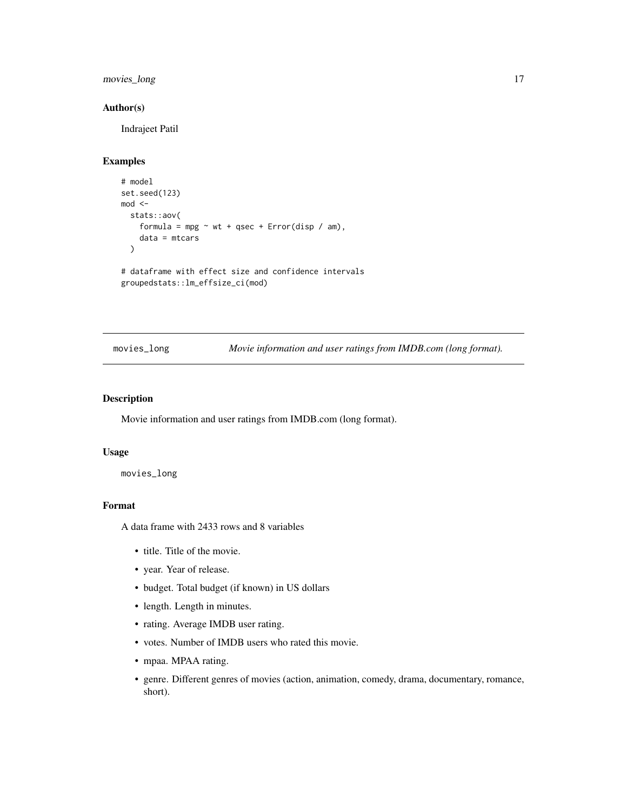## <span id="page-16-0"></span>movies\_long 17

## Author(s)

Indrajeet Patil

#### Examples

```
# model
set.seed(123)
mod <-
  stats::aov(
    formula = mpg \sim wt + qsec + Error(disp / am),
    data = mtcars
  )
# dataframe with effect size and confidence intervals
groupedstats::lm_effsize_ci(mod)
```
movies\_long *Movie information and user ratings from IMDB.com (long format).*

#### Description

Movie information and user ratings from IMDB.com (long format).

#### Usage

movies\_long

## Format

A data frame with 2433 rows and 8 variables

- title. Title of the movie.
- year. Year of release.
- budget. Total budget (if known) in US dollars
- length. Length in minutes.
- rating. Average IMDB user rating.
- votes. Number of IMDB users who rated this movie.
- mpaa. MPAA rating.
- genre. Different genres of movies (action, animation, comedy, drama, documentary, romance, short).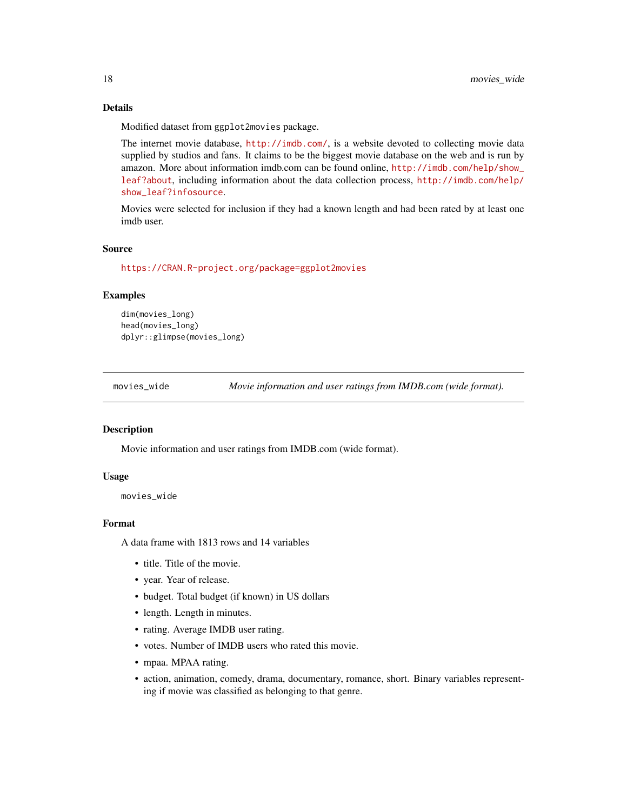## Details

Modified dataset from ggplot2movies package.

The internet movie database, <http://imdb.com/>, is a website devoted to collecting movie data supplied by studios and fans. It claims to be the biggest movie database on the web and is run by amazon. More about information imdb.com can be found online, [http://imdb.com/help/show\\_](http://imdb.com/help/show_leaf?about) [leaf?about](http://imdb.com/help/show_leaf?about), including information about the data collection process, [http://imdb.com/help/](http://imdb.com/help/show_leaf?infosource) [show\\_leaf?infosource](http://imdb.com/help/show_leaf?infosource).

Movies were selected for inclusion if they had a known length and had been rated by at least one imdb user.

#### Source

<https://CRAN.R-project.org/package=ggplot2movies>

#### Examples

```
dim(movies_long)
head(movies_long)
dplyr::glimpse(movies_long)
```
movies\_wide *Movie information and user ratings from IMDB.com (wide format).*

#### Description

Movie information and user ratings from IMDB.com (wide format).

#### Usage

movies\_wide

## Format

A data frame with 1813 rows and 14 variables

- title. Title of the movie.
- year. Year of release.
- budget. Total budget (if known) in US dollars
- length. Length in minutes.
- rating. Average IMDB user rating.
- votes. Number of IMDB users who rated this movie.
- mpaa. MPAA rating.
- action, animation, comedy, drama, documentary, romance, short. Binary variables representing if movie was classified as belonging to that genre.

<span id="page-17-0"></span>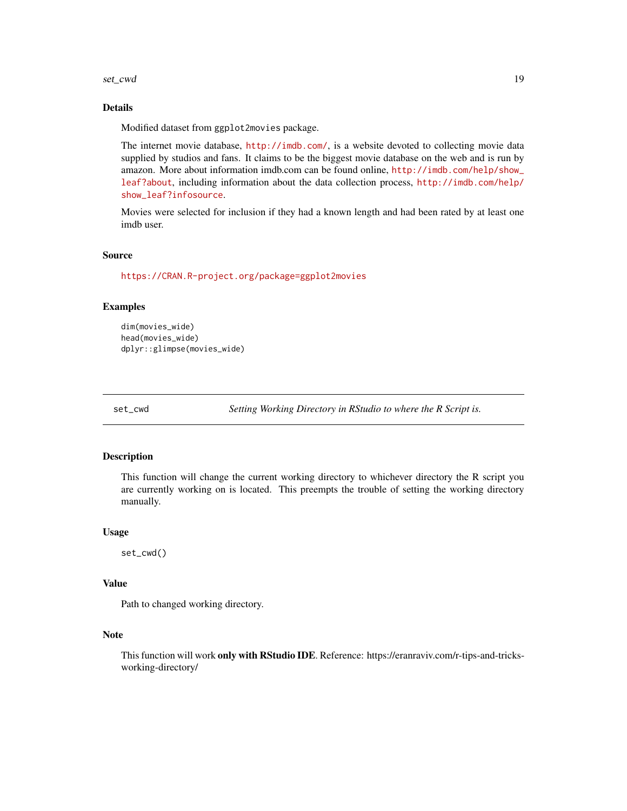<span id="page-18-0"></span>set\_cwd 19

#### Details

Modified dataset from ggplot2movies package.

The internet movie database, <http://imdb.com/>, is a website devoted to collecting movie data supplied by studios and fans. It claims to be the biggest movie database on the web and is run by amazon. More about information imdb.com can be found online, [http://imdb.com/help/show\\_](http://imdb.com/help/show_leaf?about) [leaf?about](http://imdb.com/help/show_leaf?about), including information about the data collection process, [http://imdb.com/help/](http://imdb.com/help/show_leaf?infosource) [show\\_leaf?infosource](http://imdb.com/help/show_leaf?infosource).

Movies were selected for inclusion if they had a known length and had been rated by at least one imdb user.

#### Source

<https://CRAN.R-project.org/package=ggplot2movies>

#### Examples

```
dim(movies_wide)
head(movies_wide)
dplyr::glimpse(movies_wide)
```
set\_cwd *Setting Working Directory in RStudio to where the R Script is.*

#### Description

This function will change the current working directory to whichever directory the R script you are currently working on is located. This preempts the trouble of setting the working directory manually.

#### Usage

set\_cwd()

#### Value

Path to changed working directory.

#### Note

This function will work only with RStudio IDE. Reference: https://eranraviv.com/r-tips-and-tricksworking-directory/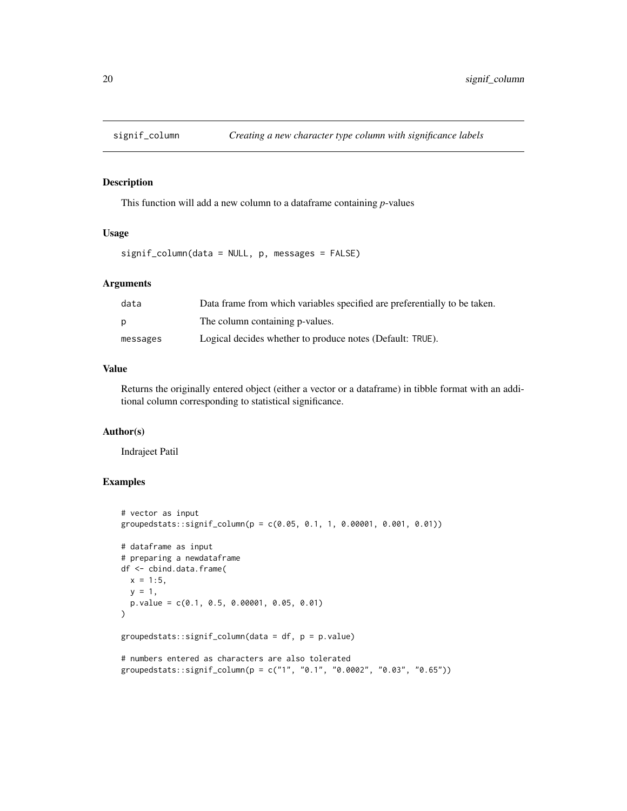<span id="page-19-0"></span>

#### Description

This function will add a new column to a dataframe containing *p*-values

#### Usage

signif\_column(data = NULL, p, messages = FALSE)

#### Arguments

| data     | Data frame from which variables specified are preferentially to be taken. |
|----------|---------------------------------------------------------------------------|
| p        | The column containing p-values.                                           |
| messages | Logical decides whether to produce notes (Default: TRUE).                 |

## Value

Returns the originally entered object (either a vector or a dataframe) in tibble format with an additional column corresponding to statistical significance.

#### Author(s)

Indrajeet Patil

```
# vector as input
groupedstats::signif_column(p = c(0.05, 0.1, 1, 0.00001, 0.001, 0.01))
# dataframe as input
# preparing a newdataframe
df <- cbind.data.frame(
 x = 1:5,
 y = 1,
 p.value = c(0.1, 0.5, 0.00001, 0.05, 0.01)
\mathcal{E}groupedstats::signif_column(data = df, p = p.value)
# numbers entered as characters are also tolerated
groupedstats::signif_column(p = c("1", "0.1", "0.0002", "0.03", "0.65"))
```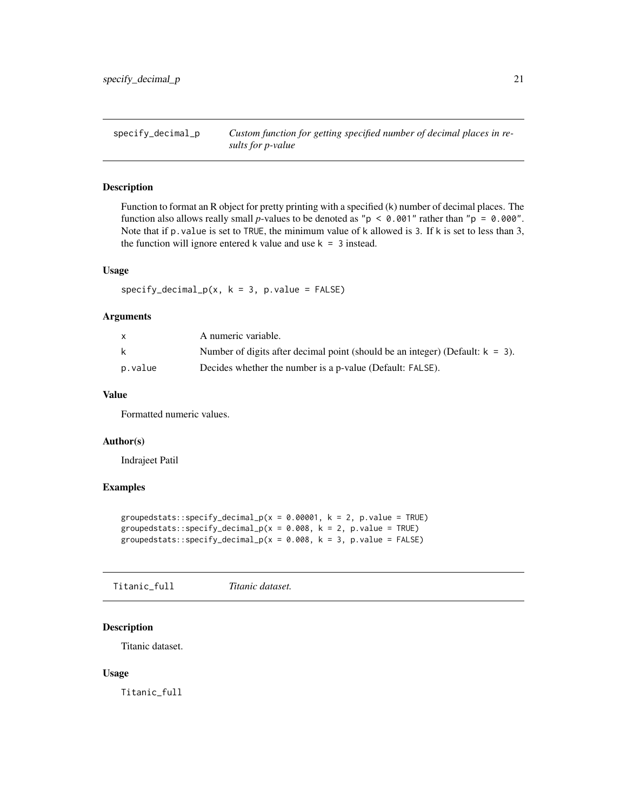<span id="page-20-0"></span>specify\_decimal\_p *Custom function for getting specified number of decimal places in results for p-value*

## Description

Function to format an R object for pretty printing with a specified (k) number of decimal places. The function also allows really small *p*-values to be denoted as " $p < 0.001$ " rather than " $p = 0.000$ ". Note that if p.value is set to TRUE, the minimum value of k allowed is 3. If k is set to less than 3, the function will ignore entered k value and use  $k = 3$  instead.

## Usage

 $specificity\_decimal_p(x, k = 3, p.value = FALSE)$ 

## Arguments

|         | A numeric variable.                                                              |
|---------|----------------------------------------------------------------------------------|
| k.      | Number of digits after decimal point (should be an integer) (Default: $k = 3$ ). |
| p.value | Decides whether the number is a p-value (Default: FALSE).                        |

## Value

Formatted numeric values.

#### Author(s)

Indrajeet Patil

#### Examples

```
groupedstats::specify_decimal_p(x = 0.00001, k = 2, p.value = TRUE)
groupedstats::specify_decimal_p(x = 0.008, k = 2, p.value = TRUE)
groupedstats::specify_decimal_p(x = 0.008, k = 3, p.value = FALSE)
```
Titanic\_full *Titanic dataset.*

#### Description

Titanic dataset.

#### Usage

Titanic\_full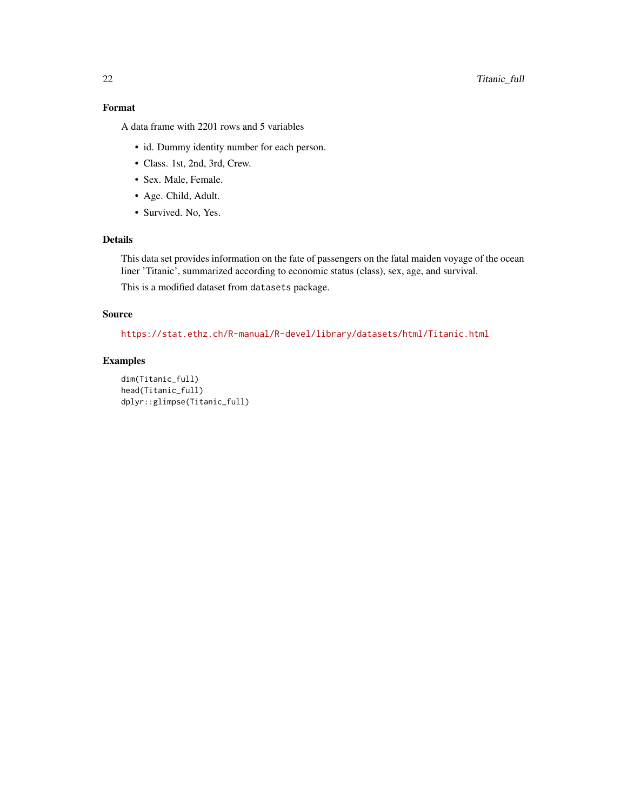## Format

A data frame with 2201 rows and 5 variables

- id. Dummy identity number for each person.
- Class. 1st, 2nd, 3rd, Crew.
- Sex. Male, Female.
- Age. Child, Adult.
- Survived. No, Yes.

## Details

This data set provides information on the fate of passengers on the fatal maiden voyage of the ocean liner 'Titanic', summarized according to economic status (class), sex, age, and survival. This is a modified dataset from datasets package.

#### Source

<https://stat.ethz.ch/R-manual/R-devel/library/datasets/html/Titanic.html>

```
dim(Titanic_full)
head(Titanic_full)
dplyr::glimpse(Titanic_full)
```